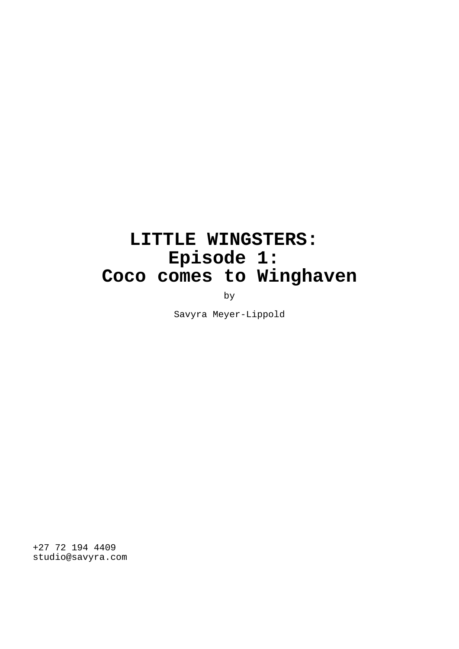# **LITTLE WINGSTERS: Episode 1: Coco comes to Winghaven**

by

Savyra Meyer-Lippold

+27 72 194 4409 studio@savyra.com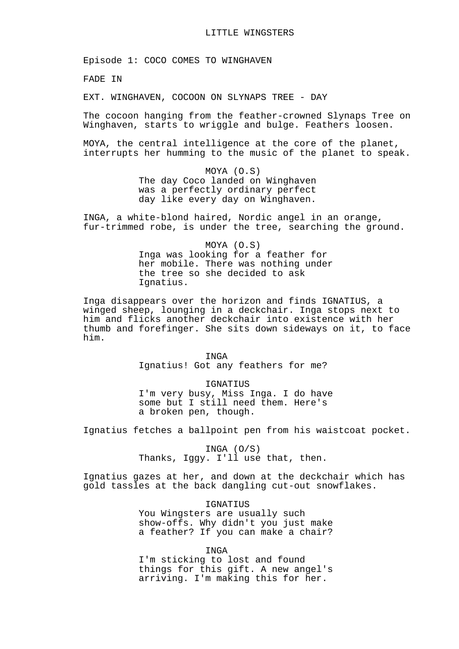Episode 1: COCO COMES TO WINGHAVEN

FADE IN

EXT. WINGHAVEN, COCOON ON SLYNAPS TREE - DAY

The cocoon hanging from the feather-crowned Slynaps Tree on Winghaven, starts to wriggle and bulge. Feathers loosen.

MOYA, the central intelligence at the core of the planet, interrupts her humming to the music of the planet to speak.

> MOYA (O.S) The day Coco landed on Winghaven was a perfectly ordinary perfect day like every day on Winghaven.

INGA, a white-blond haired, Nordic angel in an orange, fur-trimmed robe, is under the tree, searching the ground.

> MOYA (O.S) Inga was looking for a feather for her mobile. There was nothing under the tree so she decided to ask Ignatius.

Inga disappears over the horizon and finds IGNATIUS, a winged sheep, lounging in a deckchair. Inga stops next to him and flicks another deckchair into existence with her thumb and forefinger. She sits down sideways on it, to face him.

> INGA Ignatius! Got any feathers for me?

IGNATIUS I'm very busy, Miss Inga. I do have some but I still need them. Here's a broken pen, though.

Ignatius fetches a ballpoint pen from his waistcoat pocket.

INGA (O/S) Thanks, Iggy. I'll use that, then.

Ignatius gazes at her, and down at the deckchair which has gold tassles at the back dangling cut-out snowflakes.

> IGNATIUS You Wingsters are usually such show-offs. Why didn't you just make a feather? If you can make a chair?

> > INGA

I'm sticking to lost and found things for this gift. A new angel's arriving. I'm making this for her.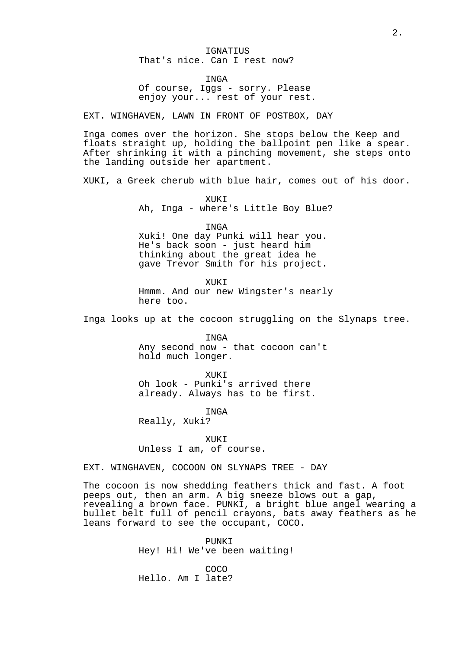IGNATIUS That's nice. Can I rest now?

INGA

Of course, Iggs - sorry. Please enjoy your... rest of your rest.

EXT. WINGHAVEN, LAWN IN FRONT OF POSTBOX, DAY

Inga comes over the horizon. She stops below the Keep and floats straight up, holding the ballpoint pen like a spear. After shrinking it with a pinching movement, she steps onto the landing outside her apartment.

XUKI, a Greek cherub with blue hair, comes out of his door.

XUKI Ah, Inga - where's Little Boy Blue?

INGA Xuki! One day Punki will hear you. He's back soon - just heard him thinking about the great idea he gave Trevor Smith for his project.

XUKI Hmmm. And our new Wingster's nearly here too.

Inga looks up at the cocoon struggling on the Slynaps tree.

INGA Any second now - that cocoon can't hold much longer.

XUKI

Oh look - Punki's arrived there already. Always has to be first.

INGA

Really, Xuki?

XUKI Unless I am, of course.

EXT. WINGHAVEN, COCOON ON SLYNAPS TREE - DAY

The cocoon is now shedding feathers thick and fast. A foot peeps out, then an arm. A big sneeze blows out a gap, revealing a brown face. PUNKI, a bright blue angel wearing a bullet belt full of pencil crayons, bats away feathers as he leans forward to see the occupant, COCO.

> PUNKI Hey! Hi! We've been waiting!

COCO Hello. Am I late?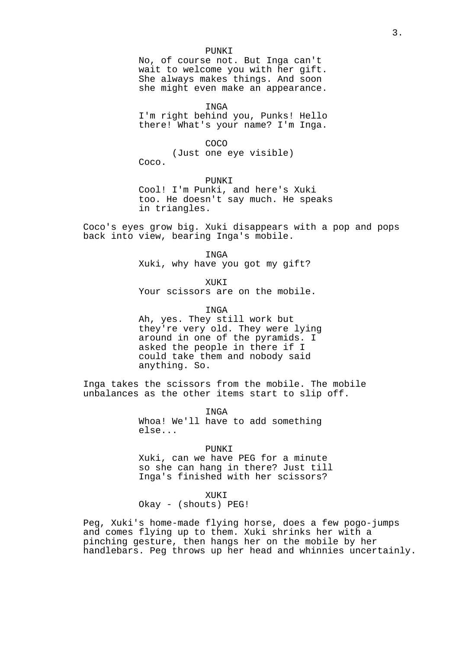#### PUNKI

No, of course not. But Inga can't wait to welcome you with her gift. She always makes things. And soon she might even make an appearance.

INGA

I'm right behind you, Punks! Hello there! What's your name? I'm Inga.

COCO

(Just one eye visible)

Coco.

PUNKI

Cool! I'm Punki, and here's Xuki too. He doesn't say much. He speaks in triangles.

Coco's eyes grow big. Xuki disappears with a pop and pops back into view, bearing Inga's mobile.

> INGA Xuki, why have you got my gift?

> > XUKI

Your scissors are on the mobile.

INGA

Ah, yes. They still work but they're very old. They were lying around in one of the pyramids. I asked the people in there if I could take them and nobody said anything. So.

Inga takes the scissors from the mobile. The mobile unbalances as the other items start to slip off.

> INGA Whoa! We'll have to add something else...

> > PUNKI

Xuki, can we have PEG for a minute so she can hang in there? Just till Inga's finished with her scissors?

XUKI

Okay - (shouts) PEG!

Peg, Xuki's home-made flying horse, does a few pogo-jumps and comes flying up to them. Xuki shrinks her with a pinching gesture, then hangs her on the mobile by her handlebars. Peg throws up her head and whinnies uncertainly.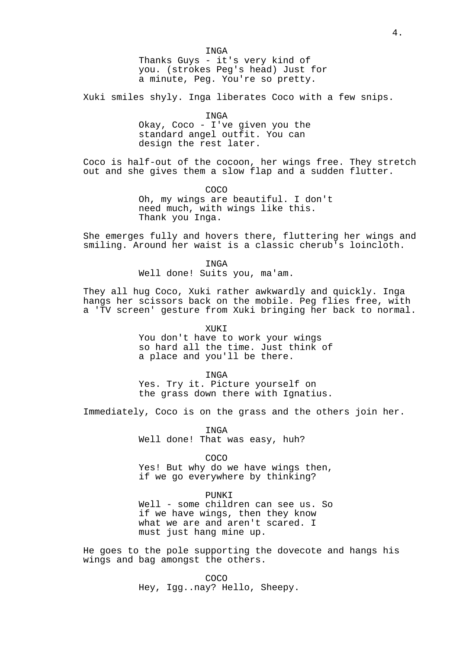Xuki smiles shyly. Inga liberates Coco with a few snips.

INGA

Okay, Coco - I've given you the standard angel outfit. You can design the rest later.

Coco is half-out of the cocoon, her wings free. They stretch out and she gives them a slow flap and a sudden flutter.

> COCO Oh, my wings are beautiful. I don't need much, with wings like this. Thank you Inga.

She emerges fully and hovers there, fluttering her wings and smiling. Around her waist is a classic cherub's loincloth.

INGA

Well done! Suits you, ma'am.

They all hug Coco, Xuki rather awkwardly and quickly. Inga hangs her scissors back on the mobile. Peg flies free, with a 'TV screen' gesture from Xuki bringing her back to normal.

> XUKI You don't have to work your wings so hard all the time. Just think of a place and you'll be there.

> > INGA

Yes. Try it. Picture yourself on the grass down there with Ignatius.

Immediately, Coco is on the grass and the others join her.

INGA Well done! That was easy, huh?

COCO Yes! But why do we have wings then, if we go everywhere by thinking?

PUNKI Well - some children can see us. So if we have wings, then they know what we are and aren't scared. I must just hang mine up.

He goes to the pole supporting the dovecote and hangs his wings and bag amongst the others.

> COCO Hey, Igg..nay? Hello, Sheepy.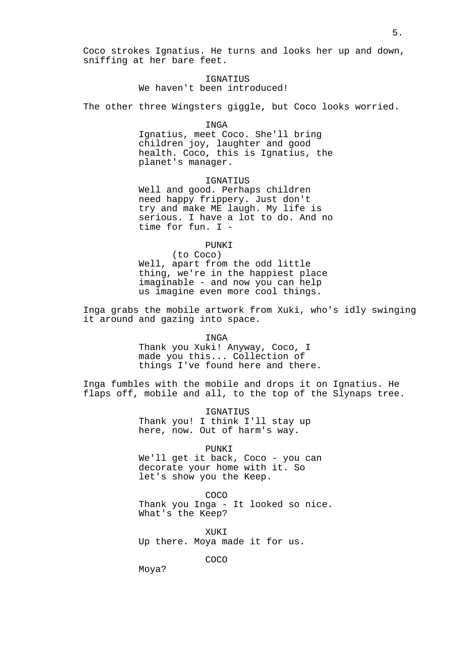Coco strokes Ignatius. He turns and looks her up and down, sniffing at her bare feet.

## IGNATIUS We haven't been introduced!

The other three Wingsters giggle, but Coco looks worried.

## INGA

Ignatius, meet Coco. She'll bring children joy, laughter and good health. Coco, this is Ignatius, the planet's manager.

#### IGNATIUS

Well and good. Perhaps children need happy frippery. Just don't try and make ME laugh. My life is serious. I have a lot to do. And no time for fun. I -

PUNKI

(to Coco) Well, apart from the odd little thing, we're in the happiest place imaginable - and now you can help us imagine even more cool things.

Inga grabs the mobile artwork from Xuki, who's idly swinging it around and gazing into space.

INGA

Thank you Xuki! Anyway, Coco, I made you this... Collection of things I've found here and there.

Inga fumbles with the mobile and drops it on Ignatius. He flaps off, mobile and all, to the top of the Slynaps tree.

> IGNATIUS Thank you! I think I'll stay up here, now. Out of harm's way.

> > PUNKI

We'll get it back, Coco - you can decorate your home with it. So let's show you the Keep.

COCO

Thank you Inga - It looked so nice. What's the Keep?

XUKI

Up there. Moya made it for us.

COCO

Moya?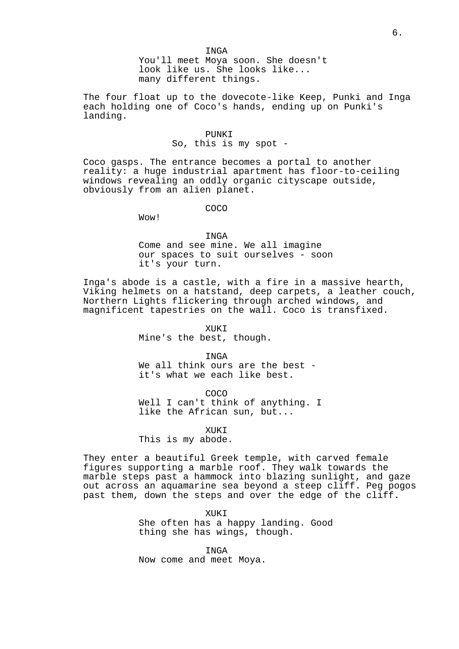INGA

You'll meet Moya soon. She doesn't look like us. She looks like... many different things.

The four float up to the dovecote-like Keep, Punki and Inga each holding one of Coco's hands, ending up on Punki's landing.

## PUNKI So, this is my spot -

Coco gasps. The entrance becomes a portal to another reality: a huge industrial apartment has floor-to-ceiling windows revealing an oddly organic cityscape outside, obviously from an alien planet.

COCO

Wow!

INGA

Come and see mine. We all imagine our spaces to suit ourselves - soon it's your turn.

Inga's abode is a castle, with a fire in a massive hearth, Viking helmets on a hatstand, deep carpets, a leather couch, Northern Lights flickering through arched windows, and magnificent tapestries on the wall. Coco is transfixed.

> XUKI Mine's the best, though.

INGA We all think ours are the best it's what we each like best.

COCO Well I can't think of anything. I like the African sun, but...

XUKI This is my abode.

They enter a beautiful Greek temple, with carved female figures supporting a marble roof. They walk towards the marble steps past a hammock into blazing sunlight, and gaze out across an aquamarine sea beyond a steep cliff. Peg pogos past them, down the steps and over the edge of the cliff.

> XUKI She often has a happy landing. Good thing she has wings, though.

INGA Now come and meet Moya.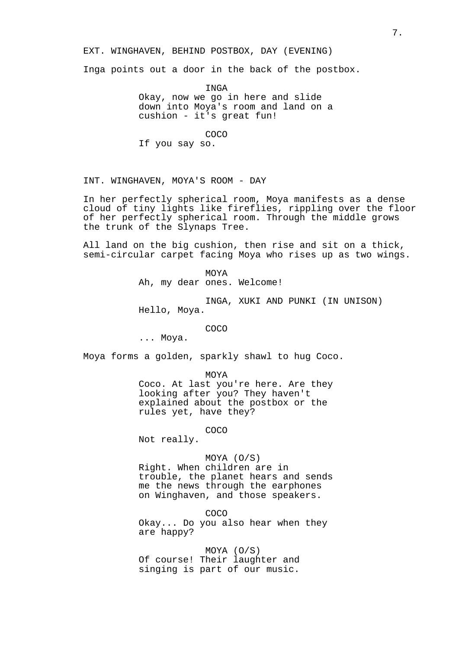EXT. WINGHAVEN, BEHIND POSTBOX, DAY (EVENING)

Inga points out a door in the back of the postbox.

INGA Okay, now we go in here and slide down into Moya's room and land on a cushion - it's great fun!

COCO If you say so.

INT. WINGHAVEN, MOYA'S ROOM - DAY

In her perfectly spherical room, Moya manifests as a dense cloud of tiny lights like fireflies, rippling over the floor of her perfectly spherical room. Through the middle grows the trunk of the Slynaps Tree.

All land on the big cushion, then rise and sit on a thick, semi-circular carpet facing Moya who rises up as two wings.

> MOYA Ah, my dear ones. Welcome!

INGA, XUKI AND PUNKI (IN UNISON) Hello, Moya.

COCO

... Moya.

Moya forms a golden, sparkly shawl to hug Coco.

MOYA

Coco. At last you're here. Are they looking after you? They haven't explained about the postbox or the rules yet, have they?

COCO

Not really.

## MOYA (O/S)

Right. When children are in trouble, the planet hears and sends me the news through the earphones on Winghaven, and those speakers.

COCO Okay... Do you also hear when they are happy?

MOYA (O/S) Of course! Their laughter and singing is part of our music.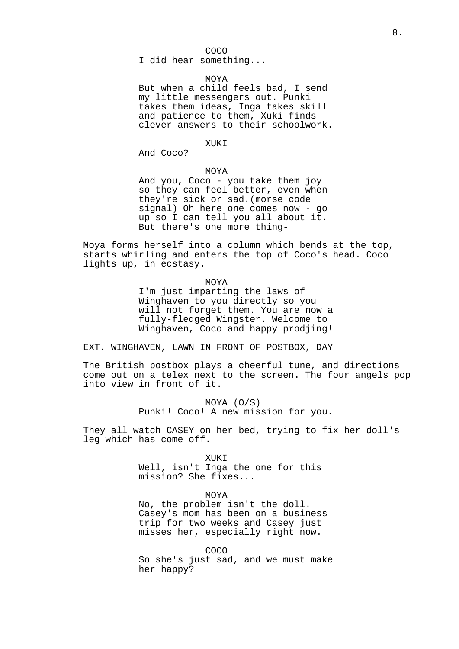COCO

I did hear something...

## MOYA

But when a child feels bad, I send my little messengers out. Punki takes them ideas, Inga takes skill and patience to them, Xuki finds clever answers to their schoolwork.

## XUKI

And Coco?

## MOYA

And you, Coco - you take them joy so they can feel better, even when they're sick or sad.(morse code signal) Oh here one comes now - go up so I can tell you all about it. But there's one more thing-

Moya forms herself into a column which bends at the top, starts whirling and enters the top of Coco's head. Coco lights up, in ecstasy.

MOYA

I'm just imparting the laws of Winghaven to you directly so you will not forget them. You are now a fully-fledged Wingster. Welcome to Winghaven, Coco and happy prodjing!

EXT. WINGHAVEN, LAWN IN FRONT OF POSTBOX, DAY

The British postbox plays a cheerful tune, and directions come out on a telex next to the screen. The four angels pop into view in front of it.

> MOYA (O/S) Punki! Coco! A new mission for you.

They all watch CASEY on her bed, trying to fix her doll's leg which has come off.

XUKI

Well, isn't Inga the one for this mission? She fixes...

MOYA

No, the problem isn't the doll. Casey's mom has been on a business trip for two weeks and Casey just misses her, especially right now.

COCO So she's just sad, and we must make her happy?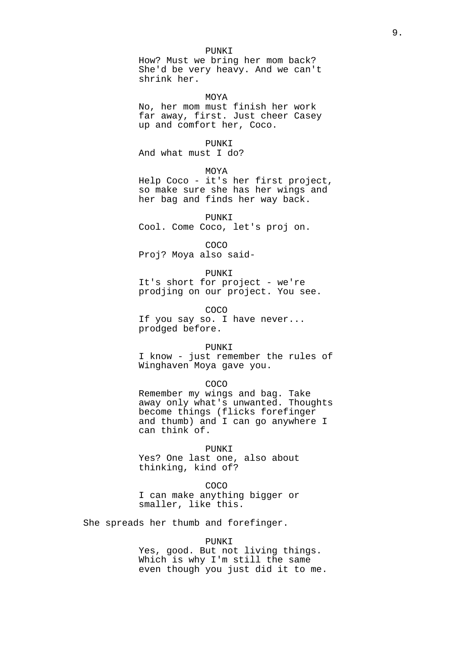PUNKI

How? Must we bring her mom back? She'd be very heavy. And we can't shrink her.

MOYA

No, her mom must finish her work far away, first. Just cheer Casey up and comfort her, Coco.

PUNKI

And what must I do?

MOYA

Help Coco - it's her first project, so make sure she has her wings and her bag and finds her way back.

PUNKI Cool. Come Coco, let's proj on.

COCO Proj? Moya also said-

PUNKI It's short for project - we're prodjing on our project. You see.

COCO If you say so. I have never... prodged before.

PUNKI

I know - just remember the rules of Winghaven Moya gave you.

COCO

Remember my wings and bag. Take away only what's unwanted. Thoughts become things (flicks forefinger and thumb) and I can go anywhere I can think of.

PUNKI

Yes? One last one, also about thinking, kind of?

COCO

I can make anything bigger or smaller, like this.

She spreads her thumb and forefinger.

PUNKI

Yes, good. But not living things. Which is why I'm still the same even though you just did it to me.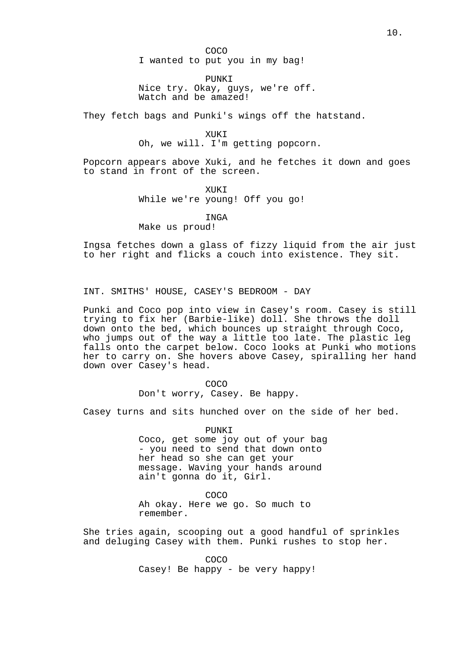COCO

I wanted to put you in my bag!

PUNKI Nice try. Okay, guys, we're off. Watch and be amazed!

They fetch bags and Punki's wings off the hatstand.

XUKI Oh, we will. I'm getting popcorn.

Popcorn appears above Xuki, and he fetches it down and goes to stand in front of the screen.

> XUKI While we're young! Off you go!

INGA Make us proud!

Ingsa fetches down a glass of fizzy liquid from the air just to her right and flicks a couch into existence. They sit.

INT. SMITHS' HOUSE, CASEY'S BEDROOM - DAY

Punki and Coco pop into view in Casey's room. Casey is still trying to fix her (Barbie-like) doll. She throws the doll down onto the bed, which bounces up straight through Coco, who jumps out of the way a little too late. The plastic leg falls onto the carpet below. Coco looks at Punki who motions her to carry on. She hovers above Casey, spiralling her hand down over Casey's head.

> COCO Don't worry, Casey. Be happy.

Casey turns and sits hunched over on the side of her bed.

PUNKI Coco, get some joy out of your bag - you need to send that down onto her head so she can get your message. Waving your hands around ain't gonna do it, Girl.

COCO

Ah okay. Here we go. So much to remember.

She tries again, scooping out a good handful of sprinkles and deluging Casey with them. Punki rushes to stop her.

> COCO Casey! Be happy - be very happy!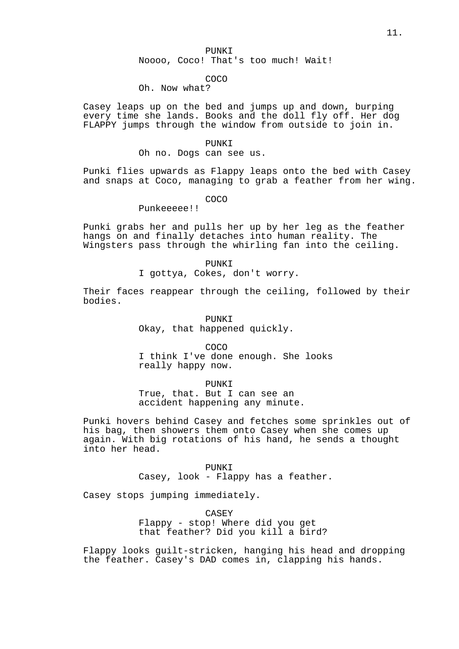PUNKI

Noooo, Coco! That's too much! Wait!

# COCO

# Oh. Now what?

Casey leaps up on the bed and jumps up and down, burping every time she lands. Books and the doll fly off. Her dog FLAPPY jumps through the window from outside to join in.

#### PUNKI

Oh no. Dogs can see us.

Punki flies upwards as Flappy leaps onto the bed with Casey and snaps at Coco, managing to grab a feather from her wing.

COCO

# Punkeeeee!!

Punki grabs her and pulls her up by her leg as the feather hangs on and finally detaches into human reality. The Wingsters pass through the whirling fan into the ceiling.

#### PUNKI

I gottya, Cokes, don't worry.

Their faces reappear through the ceiling, followed by their bodies.

# PUNKI Okay, that happened quickly.

COCO I think I've done enough. She looks really happy now.

PUNKI True, that. But I can see an accident happening any minute.

Punki hovers behind Casey and fetches some sprinkles out of his bag, then showers them onto Casey when she comes up again. With big rotations of his hand, he sends a thought into her head.

> PUNKI Casey, look - Flappy has a feather.

Casey stops jumping immediately.

CASEY

Flappy - stop! Where did you get that feather? Did you kill a bird?

Flappy looks guilt-stricken, hanging his head and dropping the feather. Casey's DAD comes in, clapping his hands.